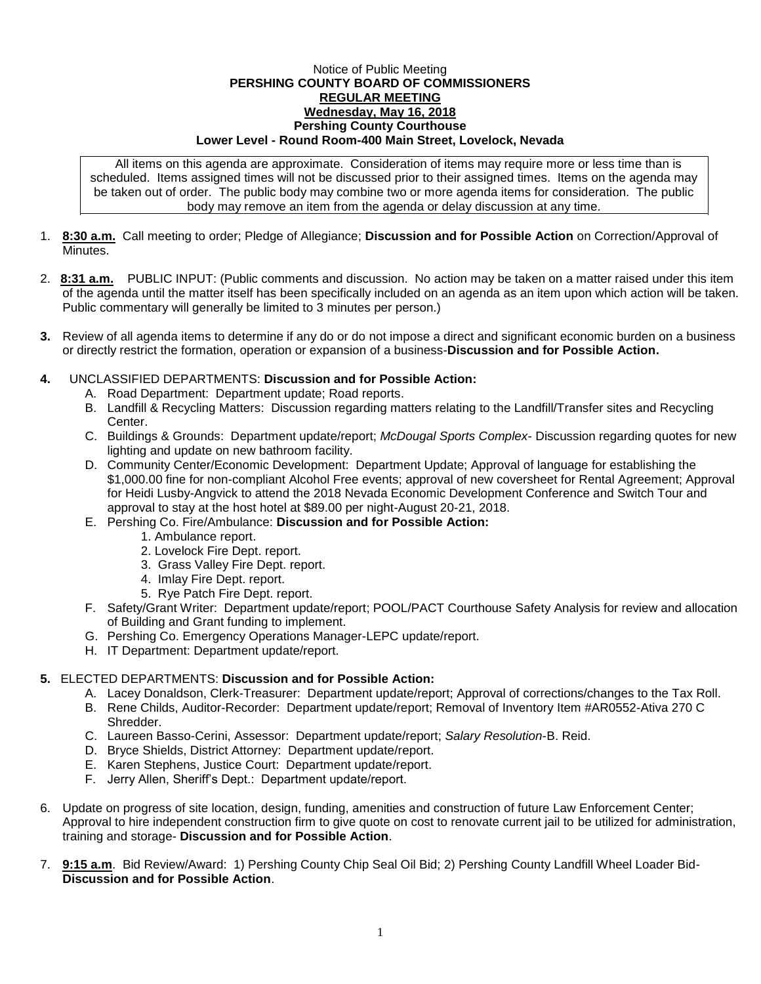## Notice of Public Meeting **PERSHING COUNTY BOARD OF COMMISSIONERS REGULAR MEETING Wednesday, May 16, 2018 Pershing County Courthouse Lower Level - Round Room-400 Main Street, Lovelock, Nevada**

All items on this agenda are approximate. Consideration of items may require more or less time than is scheduled. Items assigned times will not be discussed prior to their assigned times. Items on the agenda may be taken out of order. The public body may combine two or more agenda items for consideration. The public body may remove an item from the agenda or delay discussion at any time.

- 1. **8:30 a.m.** Call meeting to order; Pledge of Allegiance; **Discussion and for Possible Action** on Correction/Approval of **Minutes**
- 2. **8:31 a.m.** PUBLIC INPUT: (Public comments and discussion. No action may be taken on a matter raised under this item of the agenda until the matter itself has been specifically included on an agenda as an item upon which action will be taken. Public commentary will generally be limited to 3 minutes per person.)
- **3.** Review of all agenda items to determine if any do or do not impose a direct and significant economic burden on a business or directly restrict the formation, operation or expansion of a business-**Discussion and for Possible Action.**
- **4.** UNCLASSIFIED DEPARTMENTS: **Discussion and for Possible Action:**
	- A. Road Department: Department update; Road reports.
	- B. Landfill & Recycling Matters: Discussion regarding matters relating to the Landfill/Transfer sites and Recycling Center.
	- C. Buildings & Grounds: Department update/report; *McDougal Sports Complex* Discussion regarding quotes for new lighting and update on new bathroom facility.
	- D. Community Center/Economic Development: Department Update; Approval of language for establishing the \$1,000.00 fine for non-compliant Alcohol Free events; approval of new coversheet for Rental Agreement; Approval for Heidi Lusby-Angvick to attend the 2018 Nevada Economic Development Conference and Switch Tour and approval to stay at the host hotel at \$89.00 per night-August 20-21, 2018.
	- E. Pershing Co. Fire/Ambulance: **Discussion and for Possible Action:**
		- 1. Ambulance report.
		- 2. Lovelock Fire Dept. report.
		- 3. Grass Valley Fire Dept. report.
		- 4. Imlay Fire Dept. report.
		- 5. Rye Patch Fire Dept. report.
	- F. Safety/Grant Writer: Department update/report; POOL/PACT Courthouse Safety Analysis for review and allocation of Building and Grant funding to implement.
	- G. Pershing Co. Emergency Operations Manager-LEPC update/report.
	- H. IT Department: Department update/report.

## **5.** ELECTED DEPARTMENTS: **Discussion and for Possible Action:**

- A. Lacey Donaldson, Clerk-Treasurer: Department update/report; Approval of corrections/changes to the Tax Roll.
- B. Rene Childs, Auditor-Recorder: Department update/report; Removal of Inventory Item #AR0552-Ativa 270 C Shredder.
- C. Laureen Basso-Cerini, Assessor: Department update/report; *Salary Resolution*-B. Reid.
- D. Bryce Shields, District Attorney: Department update/report.
- E. Karen Stephens, Justice Court: Department update/report.
- F. Jerry Allen, Sheriff's Dept.: Department update/report.
- 6. Update on progress of site location, design, funding, amenities and construction of future Law Enforcement Center; Approval to hire independent construction firm to give quote on cost to renovate current jail to be utilized for administration, training and storage- **Discussion and for Possible Action**.
- 7. **9:15 a.m**. Bid Review/Award: 1) Pershing County Chip Seal Oil Bid; 2) Pershing County Landfill Wheel Loader Bid-**Discussion and for Possible Action**.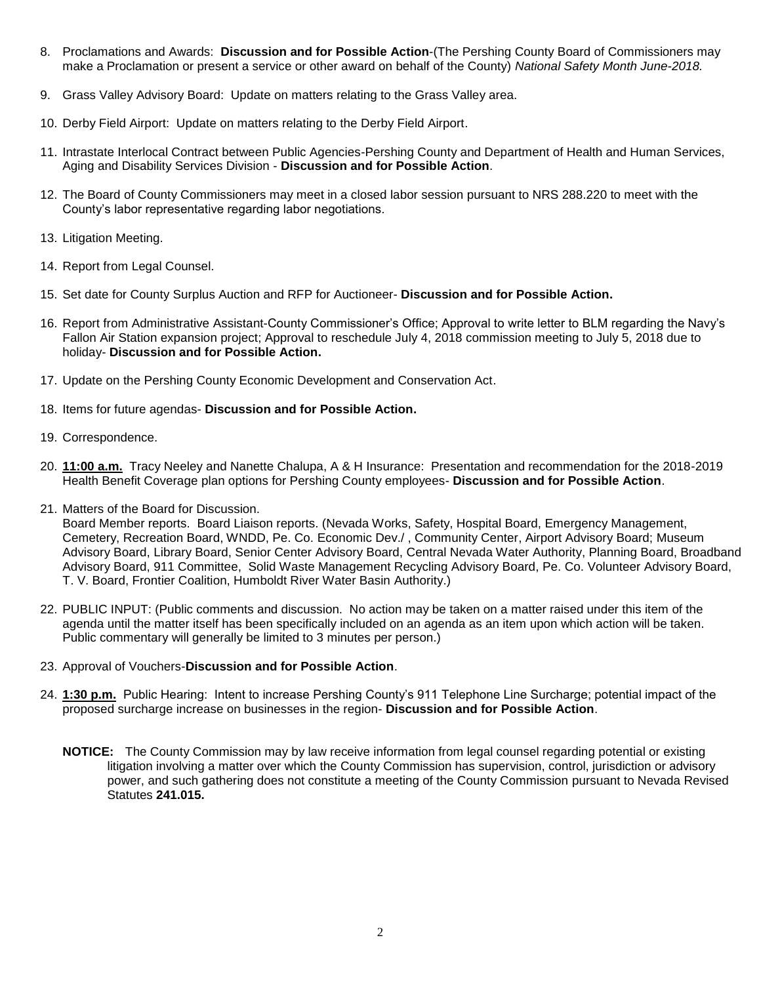- 8. Proclamations and Awards: **Discussion and for Possible Action**-(The Pershing County Board of Commissioners may make a Proclamation or present a service or other award on behalf of the County) *National Safety Month June-2018.*
- 9. Grass Valley Advisory Board: Update on matters relating to the Grass Valley area.
- 10. Derby Field Airport: Update on matters relating to the Derby Field Airport.
- 11. Intrastate Interlocal Contract between Public Agencies-Pershing County and Department of Health and Human Services, Aging and Disability Services Division - **Discussion and for Possible Action**.
- 12. The Board of County Commissioners may meet in a closed labor session pursuant to NRS 288.220 to meet with the County's labor representative regarding labor negotiations.
- 13. Litigation Meeting.
- 14. Report from Legal Counsel.
- 15. Set date for County Surplus Auction and RFP for Auctioneer- **Discussion and for Possible Action.**
- 16. Report from Administrative Assistant-County Commissioner's Office; Approval to write letter to BLM regarding the Navy's Fallon Air Station expansion project; Approval to reschedule July 4, 2018 commission meeting to July 5, 2018 due to holiday- **Discussion and for Possible Action.**
- 17. Update on the Pershing County Economic Development and Conservation Act.
- 18. Items for future agendas- **Discussion and for Possible Action.**
- 19. Correspondence.
- 20. **11:00 a.m.** Tracy Neeley and Nanette Chalupa, A & H Insurance: Presentation and recommendation for the 2018-2019 Health Benefit Coverage plan options for Pershing County employees- **Discussion and for Possible Action**.
- 21. Matters of the Board for Discussion.

Board Member reports. Board Liaison reports. (Nevada Works, Safety, Hospital Board, Emergency Management, Cemetery, Recreation Board, WNDD, Pe. Co. Economic Dev./ , Community Center, Airport Advisory Board; Museum Advisory Board, Library Board, Senior Center Advisory Board, Central Nevada Water Authority, Planning Board, Broadband Advisory Board, 911 Committee, Solid Waste Management Recycling Advisory Board, Pe. Co. Volunteer Advisory Board, T. V. Board, Frontier Coalition, Humboldt River Water Basin Authority.)

- 22. PUBLIC INPUT: (Public comments and discussion. No action may be taken on a matter raised under this item of the agenda until the matter itself has been specifically included on an agenda as an item upon which action will be taken. Public commentary will generally be limited to 3 minutes per person.)
- 23. Approval of Vouchers-**Discussion and for Possible Action**.
- 24. **1:30 p.m.** Public Hearing: Intent to increase Pershing County's 911 Telephone Line Surcharge; potential impact of the proposed surcharge increase on businesses in the region- **Discussion and for Possible Action**.
	- **NOTICE:** The County Commission may by law receive information from legal counsel regarding potential or existing litigation involving a matter over which the County Commission has supervision, control, jurisdiction or advisory power, and such gathering does not constitute a meeting of the County Commission pursuant to Nevada Revised Statutes **241.015.**